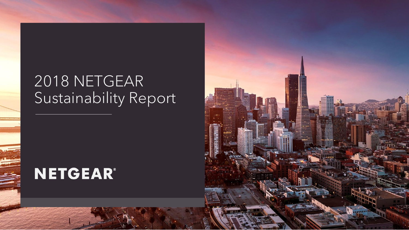## 2018 NETGEAR Sustainability Report

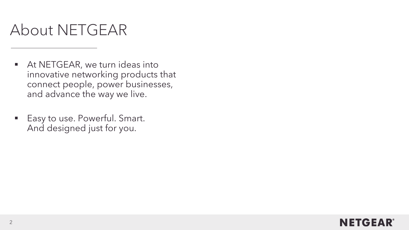# About NETGEAR

- At NETGEAR, we turn ideas into innovative networking products that connect people, power businesses, and advance the way we live.
- Easy to use. Powerful. Smart. And designed just for you.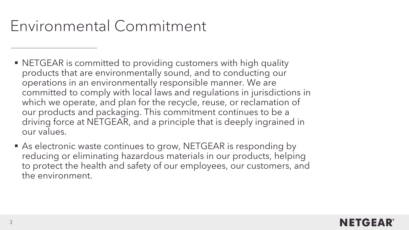### Environmental Commitment

- NETGEAR is committed to providing customers with high quality products that are environmentally sound, and to conducting our operations in an environmentally responsible manner. We are committed to comply with local laws and regulations in jurisdictions in which we operate, and plan for the recycle, reuse, or reclamation of our products and packaging. This commitment continues to be a driving force at NETGEAR, and a principle that is deeply ingrained in our values.
- As electronic waste continues to grow, NETGEAR is responding by reducing or eliminating hazardous materials in our products, helping to protect the health and safety of our employees, our customers, and the environment.

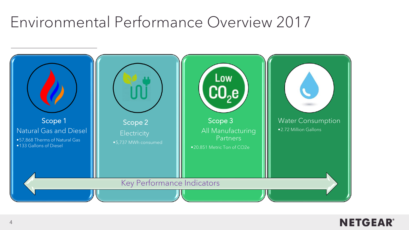### Environmental Performance Overview 2017



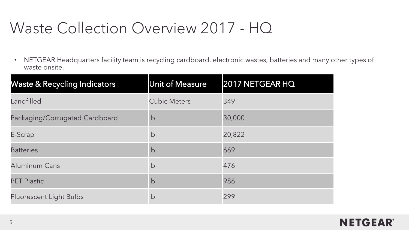## Waste Collection Overview 2017 - HQ

• NETGEAR Headquarters facility team is recycling cardboard, electronic wastes, batteries and many other types of waste onsite.

| <b>Waste &amp; Recycling Indicators</b> | Unit of Measure     | 2017 NETGEAR HQ |
|-----------------------------------------|---------------------|-----------------|
| Landfilled                              | <b>Cubic Meters</b> | 349             |
| Packaging/Corrugated Cardboard          | lb                  | 30,000          |
| E-Scrap                                 | $\mathsf{lb}$       | 20,822          |
| <b>Batteries</b>                        | lb                  | 669             |
| Aluminum Cans                           | lb                  | 476             |
| <b>PET Plastic</b>                      | lb                  | 986             |
| <b>Fluorescent Light Bulbs</b>          | lb                  | 299             |

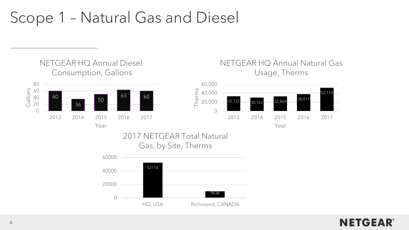### Scope 1 – Natural Gas and Diesel

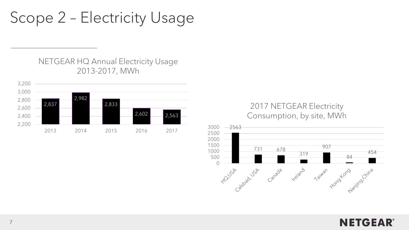Scope 2 – Electricity Usage

NETGEAR HQ Annual Electricity Usage 2013-2017, MWh



#### 2017 NETGEAR Electricity Consumption, by site, MWh



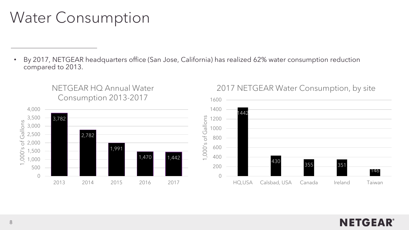# Water Consumption

• By 2017, NETGEAR headquarters office (San Jose, California) has realized 62% water consumption reduction compared to 2013.



NETGEAR HQ Annual Water

#### 2017 NETGEAR Water Consumption, by site

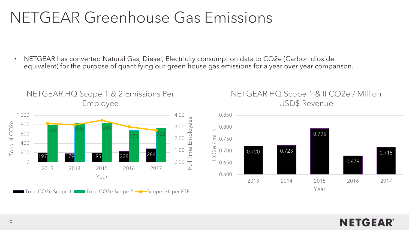## NETGEAR Greenhouse Gas Emissions

• NETGEAR has converted Natural Gas, Diesel, Electricity consumption data to CO2e (Carbon dioxide equivalent) for the purpose of quantifying our green house gas emissions for a year over year comparison.



NETGEAR HQ Scope 1 & 2 Emissions Per

NETGEAR HQ Scope 1 & II CO2e / Million USD\$ Revenue

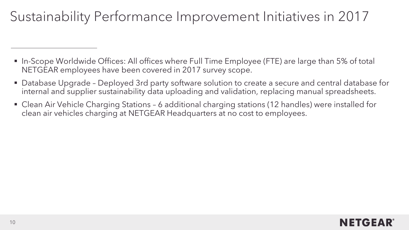### Sustainability Performance Improvement Initiatives in 2017

- In-Scope Worldwide Offices: All offices where Full Time Employee (FTE) are large than 5% of total NETGEAR employees have been covered in 2017 survey scope.
- Database Upgrade Deployed 3rd party software solution to create a secure and central database for internal and supplier sustainability data uploading and validation, replacing manual spreadsheets.
- Clean Air Vehicle Charging Stations 6 additional charging stations (12 handles) were installed for clean air vehicles charging at NETGEAR Headquarters at no cost to employees.